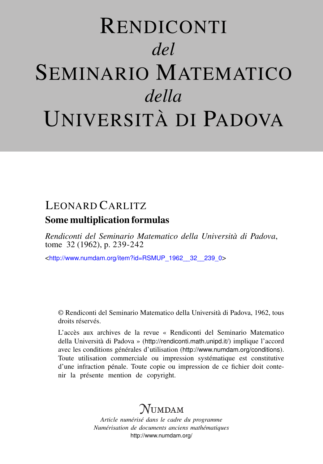# RENDICONTI *del* SEMINARIO MATEMATICO *della* UNIVERSITÀ DI PADOVA

### LEONARD CARLITZ Some multiplication formulas

*Rendiconti del Seminario Matematico della Università di Padova*, tome 32 (1962), p. 239-242

<[http://www.numdam.org/item?id=RSMUP\\_1962\\_\\_32\\_\\_239\\_0](http://www.numdam.org/item?id=RSMUP_1962__32__239_0)>

© Rendiconti del Seminario Matematico della Università di Padova, 1962, tous droits réservés.

L'accès aux archives de la revue « Rendiconti del Seminario Matematico della Università di Padova » (<http://rendiconti.math.unipd.it/>) implique l'accord avec les conditions générales d'utilisation (<http://www.numdam.org/conditions>). Toute utilisation commerciale ou impression systématique est constitutive d'une infraction pénale. Toute copie ou impression de ce fichier doit contenir la présente mention de copyright.

## $\mathcal N$ umdam

*Article numérisé dans le cadre du programme Numérisation de documents anciens mathématiques* <http://www.numdam.org/>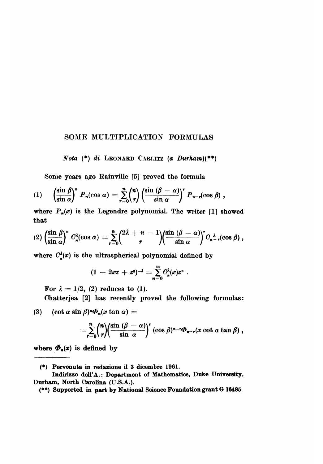#### SOME MULTIPLICATION FORMULAS

Nota  $(*)$  di LEONARD CARLITZ (a Durham) $(*)$ 

Some years ago Rainville [5] proved the formula

$$
(1) \qquad \left(\frac{\sin \beta}{\sin \alpha}\right)^n P_n(\cos \alpha) = \sum_{r=0}^n {n \choose r} \left(\frac{\sin (\beta - \alpha)}{\sin \alpha}\right)^r P_{n-r}(\cos \beta) ,
$$

where  $P_n(x)$  is the Legendre polynomial. The writer [1] showed that

$$
(2)\left(\frac{\sin \beta}{\sin \alpha}\right)^n C^{\lambda}_{\kappa}(\cos \alpha) = \sum_{r=0}^n {2\lambda + n - 1 \choose r} \left(\frac{\sin (\beta - \alpha)}{\sin \alpha}\right)^r C^{\lambda}_{n-r}(\cos \beta) ,
$$

where  $C_{\rm s}^{\lambda}(x)$  is the ultraspherical polynomial defined by

$$
(1 - 2xz + z^2)^{-\lambda} = \sum_{n=0}^{\infty} C_n^{\lambda}(x)z^n.
$$

For  $\lambda = 1/2$ , (2) reduces to (1).

Chatterjea [2] has recently proved the following formulas:

 $(\cot \alpha \sin \beta)^n \Phi_n(x \tan \alpha) =$  $(3)$ 

$$
= \sum_{r=0}^n \binom{n}{r} \left(\frac{\sin(\beta-\alpha)}{\sin\alpha}\right)^r (\cos\beta)^{n-r} \Phi_{n-r}(x \cot\alpha\tan\beta)\,,
$$

where  $\Phi_n(x)$  is defined by

<sup>(\*)</sup> Pervenuta in redazione il 3 dicembre 1961.

Indirizzo dell'A.: Department of Mathematics, Duke University, Durham, North Carolina (U.S.A.).

<sup>(\*\*)</sup> Supported in part by National Science Foundation grant G 16485.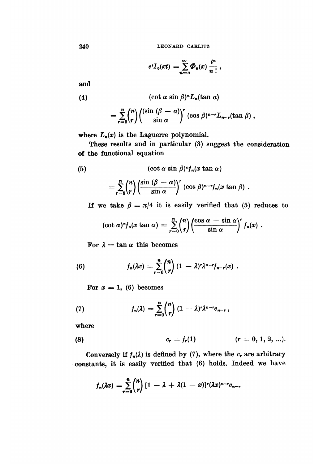LEONARD CARLITZ

$$
e^tI_0(xt)=\sum_{n=0}^\infty \Phi_n(x)\,\frac{t^n}{n\,!}\,,
$$

and

(4) 
$$
(\cot \alpha \sin \beta)^n L_n(\tan \alpha)
$$

$$
= \sum_{r=0}^n \binom{n}{r} \left(\frac{(\sin (\beta - \alpha))}{\sin \alpha}\right)^r (\cos \beta)^{n-r} L_{n-r}(\tan \beta) ,
$$

where  $L_n(x)$  is the Laguerre polynomial.

These results and in particular (3) suggest the consideration of the functional equation

(5) 
$$
(\cot \alpha \sin \beta)^n f_n(x \tan \alpha)
$$

$$
= \sum_{r=0}^n \binom{n}{r} \left(\frac{\sin (\beta - \alpha)}{\sin \alpha}\right)^r (\cos \beta)^{n-r} f_n(x \tan \beta).
$$

If we take  $\beta = \pi/4$  it is easily verified that (5) reduces to

$$
(\cot \alpha)^n f_n(x \tan \alpha) = \sum_{r=0}^n {n \choose r} \left( \frac{\cos \alpha - \sin \alpha}{\sin \alpha} \right)^r f_n(x) .
$$

For  $\lambda = \tan \alpha$  this becomes

(6) 
$$
f_n(\lambda x) = \sum_{r=0}^n {n \choose r} (1-\lambda)^r \lambda^{n-r} f_{n-r}(x).
$$

For  $x = 1$ , (6) becomes

(7) 
$$
f_n(\lambda) = \sum_{r=0}^n \binom{n}{r} (1-\lambda)^r \lambda^{n-r} c_{n-r},
$$

where

(8) 
$$
c_r = f_r(1)
$$
  $(r = 0, 1, 2, ...).$ 

Conversely if  $f_n(\lambda)$  is defined by (7), where the c, are arbitrary ..constants, it is easily verified that (6) holds. Indeed we have

$$
f_n(\lambda x) = \sum_{r=0}^n \binom{n}{r} \left[1-\lambda + \lambda(1-x)\right]^r (\lambda x)^{n-r} c_{n-r}
$$

240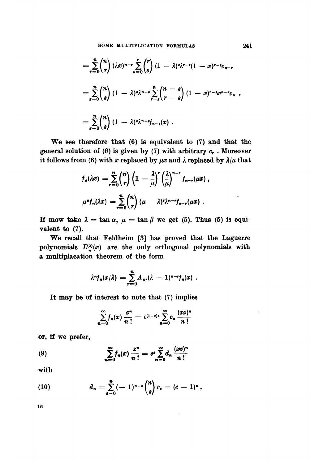$$
= \sum_{r=0}^{n} {n \choose r} (\lambda x)^{n-r} \sum_{s=0}^{r} {r \choose s} (1-\lambda)^{s} \lambda^{r-s} (1-x)^{r-s} C_{n-r}
$$
  

$$
= \sum_{s=0}^{n} {n \choose s} (1-\lambda)^{s} \lambda^{n-s} \sum_{r=s}^{n} {n-s \choose r-s} (1-x)^{r-s} x^{n-r} C_{n-r}
$$
  

$$
= \sum_{s=0}^{n} {n \choose s} (1-\lambda)^{s} \lambda^{n-s} f_{n-s}(x).
$$

We see therefore that (6) is equivalent to (7) and that the general solution of  $(6)$  is given by  $(7)$  with arbitrary  $c_r$ . Moreover it follows from (6) with x replaced by  $\mu x$  and  $\lambda$  replaced by  $\lambda/\mu$  that

$$
f_n(\lambda x) = \sum_{r=0}^n {n \choose r} \left(1 - \frac{\lambda}{\mu}\right)^r \left(\frac{\lambda}{\mu}\right)^{n-r} f_{n-r}(\mu x),
$$
  

$$
\mu^n f_n(\lambda x) = \sum_{r=0}^n {n \choose r} (\mu - \lambda)^r \lambda^{n-r} f_{n-r}(\mu x).
$$

If mow take  $\lambda = \tan \alpha$ ,  $\mu = \tan \beta$  we get (5). Thus (5) is equivalent to (7).

We recall that Feldheim [3] has proved that the Laguerre polynomials  $L_{\bullet}^{(\alpha)}(x)$  are the only orthogonal polynomials with a multiplacation theorem of the form

$$
\lambda^n f_n(x/\lambda) = \sum_{r=0}^n A_{nr}(\lambda - 1)^{n-r} f_n(x) .
$$

It may be of interest to note that (7) implies

$$
\sum_{n=0}^{\infty} f_n(x) \frac{z^n}{n!} = e^{(1-x)z} \sum_{n=0}^{\infty} c_n \frac{(xz)^n}{n!}
$$

 $\ddot{\phantom{a}}$ 

or, if we prefer,

(9) 
$$
\sum_{n=0}^{\infty} f_n(x) \frac{z^n}{n!} = e^x \sum_{n=0}^{\infty} d_n \frac{(xz)^n}{n!}
$$

with

(10) 
$$
d_n = \sum_{s=0}^n (-1)^{n-s} {n \choose s} c_s = (c-1)^n,
$$

16

 $\ddot{\phantom{0}}$